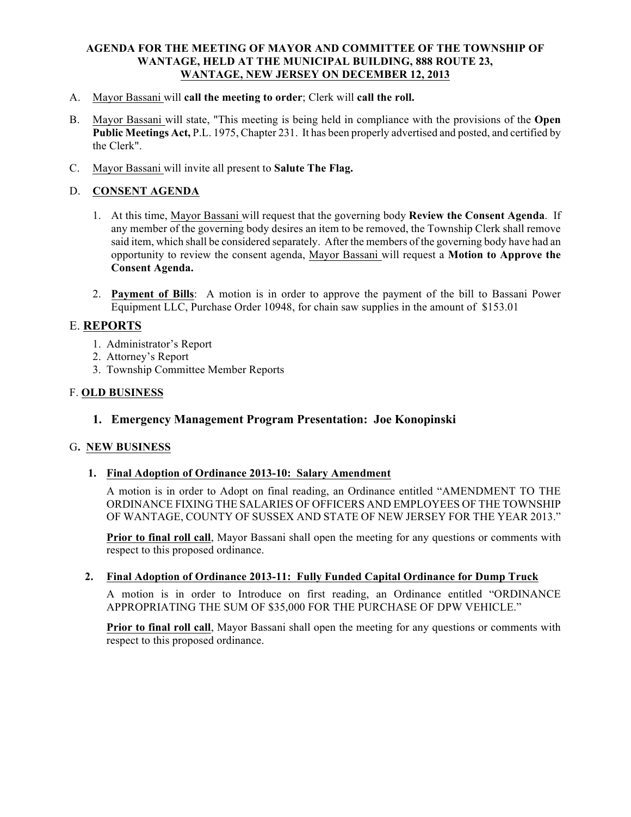#### **AGENDA FOR THE MEETING OF MAYOR AND COMMITTEE OF THE TOWNSHIP OF WANTAGE, HELD AT THE MUNICIPAL BUILDING, 888 ROUTE 23, WANTAGE, NEW JERSEY ON DECEMBER 12, 2013**

- A. Mayor Bassani will **call the meeting to order**; Clerk will **call the roll.**
- B. Mayor Bassani will state, "This meeting is being held in compliance with the provisions of the **Open Public Meetings Act,** P.L. 1975, Chapter 231. It has been properly advertised and posted, and certified by the Clerk".
- C. Mayor Bassani will invite all present to **Salute The Flag.**

## D. **CONSENT AGENDA**

- 1. At this time, Mayor Bassani will request that the governing body **Review the Consent Agenda**. If any member of the governing body desires an item to be removed, the Township Clerk shall remove said item, which shall be considered separately. After the members of the governing body have had an opportunity to review the consent agenda, Mayor Bassani will request a **Motion to Approve the Consent Agenda.**
- 2. **Payment of Bills**: A motion is in order to approve the payment of the bill to Bassani Power Equipment LLC, Purchase Order 10948, for chain saw supplies in the amount of \$153.01

## E. **REPORTS**

- 1. Administrator's Report
- 2. Attorney's Report
- 3. Township Committee Member Reports

#### F. **OLD BUSINESS**

## **1. Emergency Management Program Presentation: Joe Konopinski**

## G**. NEW BUSINESS**

## **1. Final Adoption of Ordinance 2013-10: Salary Amendment**

A motion is in order to Adopt on final reading, an Ordinance entitled "AMENDMENT TO THE ORDINANCE FIXING THE SALARIES OF OFFICERS AND EMPLOYEES OF THE TOWNSHIP OF WANTAGE, COUNTY OF SUSSEX AND STATE OF NEW JERSEY FOR THE YEAR 2013."

**Prior to final roll call**, Mayor Bassani shall open the meeting for any questions or comments with respect to this proposed ordinance.

## **2. Final Adoption of Ordinance 2013-11: Fully Funded Capital Ordinance for Dump Truck**

A motion is in order to Introduce on first reading, an Ordinance entitled "ORDINANCE APPROPRIATING THE SUM OF \$35,000 FOR THE PURCHASE OF DPW VEHICLE."

**Prior to final roll call**, Mayor Bassani shall open the meeting for any questions or comments with respect to this proposed ordinance.